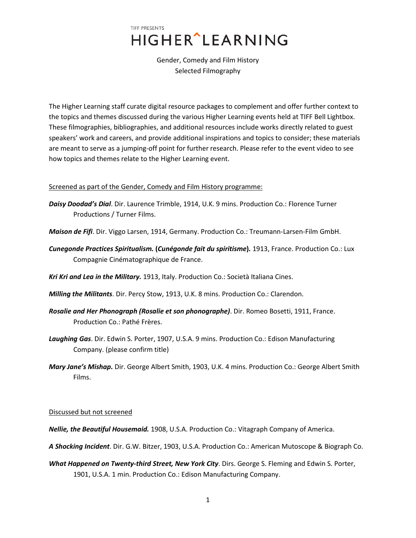Gender, Comedy and Film History Selected Filmography

The Higher Learning staff curate digital resource packages to complement and offer further context to the topics and themes discussed during the various Higher Learning events held at TIFF Bell Lightbox. These filmographies, bibliographies, and additional resources include works directly related to guest speakers' work and careers, and provide additional inspirations and topics to consider; these materials are meant to serve as a jumping-off point for further research. Please refer to the event video to see how topics and themes relate to the Higher Learning event.

### Screened as part of the Gender, Comedy and Film History programme:

- *Daisy Doodad's Dial*. Dir. Laurence Trimble, 1914, U.K. 9 mins. Production Co.: Florence Turner Productions / Turner Films.
- *Maison de Fifi*. Dir. Viggo Larsen, 1914, Germany. Production Co.: Treumann-Larsen-Film GmbH.
- *Cunegonde Practices Spiritualism.* **(***Cunégonde fait du spiritisme***)***.* 1913, France. Production Co.: Lux Compagnie Cinématographique de France.
- *Kri Kri and Lea in the Military.* 1913, Italy. Production Co.: Società Italiana Cines.
- *Milling the Militants*. Dir. Percy Stow, 1913, U.K. 8 mins. Production Co.: Clarendon.
- *Rosalie and Her Phonograph (Rosalie et son phonographe)*. Dir. Romeo Bosetti, 1911, France. Production Co.: Pathé Frères.
- *Laughing Gas*. Dir. Edwin S. Porter, 1907, U.S.A. 9 mins. Production Co.: Edison Manufacturing Company. (please confirm title)
- *Mary Jane's Mishap.* Dir. George Albert Smith, 1903, U.K. 4 mins. Production Co.: George Albert Smith Films.

### Discussed but not screened

- *Nellie, the Beautiful Housemaid.* 1908, U.S.A. Production Co.: Vitagraph Company of America.
- *A Shocking Incident*. Dir. G.W. Bitzer, 1903, U.S.A. Production Co.: American Mutoscope & Biograph Co.
- *What Happened on Twenty-third Street, New York City*. Dirs. George S. Fleming and Edwin S. Porter, 1901, U.S.A. 1 min. Production Co.: Edison Manufacturing Company.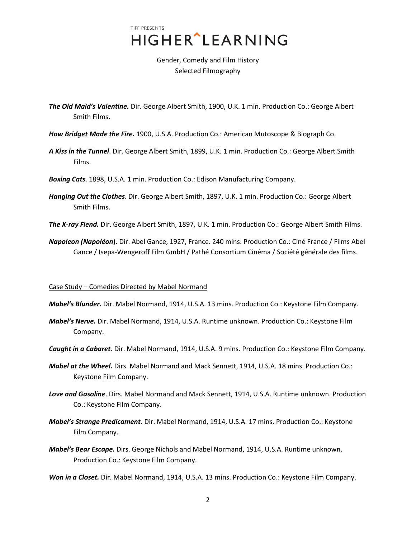Gender, Comedy and Film History Selected Filmography

- *The Old Maid's Valentine.* Dir. George Albert Smith, 1900, U.K. 1 min. Production Co.: George Albert Smith Films.
- *How Bridget Made the Fire.* 1900, U.S.A. Production Co.: American Mutoscope & Biograph Co.
- *A Kiss in the Tunnel*. Dir. George Albert Smith, 1899, U.K. 1 min. Production Co.: George Albert Smith Films.
- *Boxing Cats*. 1898, U.S.A. 1 min. Production Co.: Edison Manufacturing Company.
- *Hanging Out the Clothes*. Dir. George Albert Smith, 1897, U.K. 1 min. Production Co.: George Albert Smith Films.
- *The X-ray Fiend.* Dir. George Albert Smith, 1897, U.K. 1 min. Production Co.: George Albert Smith Films.
- *Napoleon (Napoléon***).** Dir. Abel Gance, 1927, France. 240 mins. Production Co.: Ciné France / Films Abel Gance / Isepa-Wengeroff Film GmbH / Pathé Consortium Cinéma / Société générale des films.

#### Case Study – Comedies Directed by Mabel Normand

- *Mabel's Blunder.* Dir. Mabel Normand, 1914, U.S.A. 13 mins. Production Co.: Keystone Film Company.
- *Mabel's Nerve.* Dir. Mabel Normand, 1914, U.S.A. Runtime unknown. Production Co.: Keystone Film Company.
- *Caught in a Cabaret.* Dir. Mabel Normand, 1914, U.S.A. 9 mins. Production Co.: Keystone Film Company.
- *Mabel at the Wheel.* Dirs. Mabel Normand and Mack Sennett, 1914, U.S.A. 18 mins. Production Co.: Keystone Film Company.
- *Love and Gasoline*. Dirs. Mabel Normand and Mack Sennett, 1914, U.S.A. Runtime unknown. Production Co.: Keystone Film Company.
- *Mabel's Strange Predicament.* Dir. Mabel Normand, 1914, U.S.A. 17 mins. Production Co.: Keystone Film Company.
- *Mabel's Bear Escape.* Dirs. George Nichols and Mabel Normand, 1914, U.S.A. Runtime unknown. Production Co.: Keystone Film Company.

*Won in a Closet.* Dir. Mabel Normand, 1914, U.S.A. 13 mins. Production Co.: Keystone Film Company.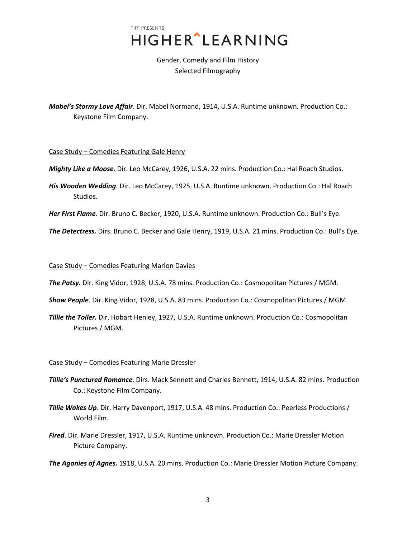Gender, Comedy and Film History Selected Filmography

*Mabel's Stormy Love Affair*. Dir. Mabel Normand, 1914, U.S.A. Runtime unknown. Production Co.: Keystone Film Company.

Case Study – Comedies Featuring Gale Henry

- *Mighty Like a Moose*. Dir. Leo McCarey, 1926, U.S.A. 22 mins. Production Co.: Hal Roach Studios.
- *His Wooden Wedding*. Dir. Leo McCarey, 1925, U.S.A. Runtime unknown. Production Co.: Hal Roach Studios.

*Her First Flame*. Dir. Bruno C. Becker, 1920, U.S.A. Runtime unknown. Production Co.: Bull's Eye.

*The Detectress.* Dirs. Bruno C. Becker and Gale Henry, 1919, U.S.A. 21 mins. Production Co.: Bull's Eye.

Case Study – Comedies Featuring Marion Davies

*The Patsy.* Dir. King Vidor, 1928, U.S.A. 78 mins. Production Co.: Cosmopolitan Pictures / MGM.

- *Show People*. Dir. King Vidor, 1928, U.S.A. 83 mins. Production Co.: Cosmopolitan Pictures / MGM.
- *Tillie the Toiler.* Dir. Hobart Henley, 1927, U.S.A. Runtime unknown. Production Co.: Cosmopolitan Pictures / MGM.

### Case Study – Comedies Featuring Marie Dressler

- *Tillie's Punctured Romance*. Dirs. Mack Sennett and Charles Bennett, 1914, U.S.A. 82 mins. Production Co.: Keystone Film Company.
- *Tillie Wakes Up*. Dir. Harry Davenport, 1917, U.S.A. 48 mins. Production Co.: Peerless Productions / World Film.
- *Fired*. Dir. Marie Dressler, 1917, U.S.A. Runtime unknown. Production Co.: Marie Dressler Motion Picture Company.

*The Agonies of Agnes.* 1918, U.S.A. 20 mins. Production Co.: Marie Dressler Motion Picture Company.